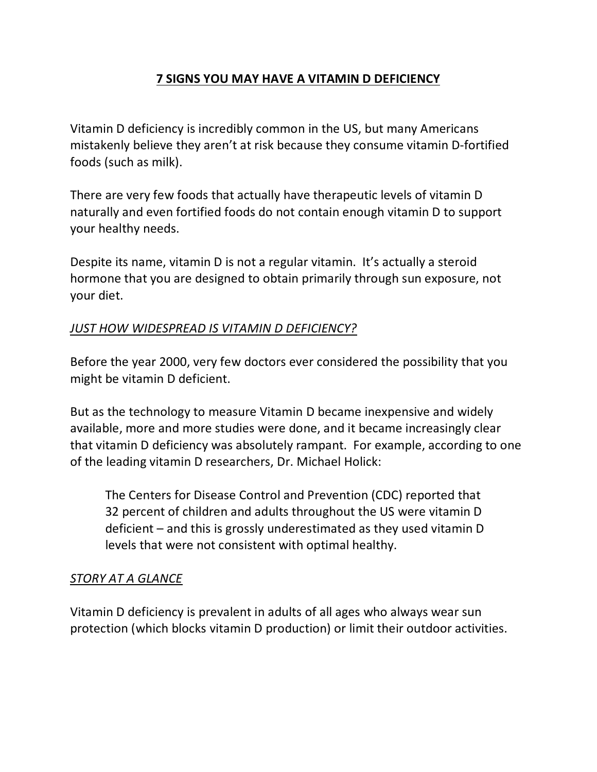# **7 SIGNS YOU MAY HAVE A VITAMIN D DEFICIENCY**

Vitamin D deficiency is incredibly common in the US, but many Americans mistakenly believe they aren't at risk because they consume vitamin D-fortified foods (such as milk).

There are very few foods that actually have therapeutic levels of vitamin D naturally and even fortified foods do not contain enough vitamin D to support your healthy needs.

Despite its name, vitamin D is not a regular vitamin. It's actually a steroid hormone that you are designed to obtain primarily through sun exposure, not your diet.

## *JUST HOW WIDESPREAD IS VITAMIN D DEFICIENCY?*

Before the year 2000, very few doctors ever considered the possibility that you might be vitamin D deficient.

But as the technology to measure Vitamin D became inexpensive and widely available, more and more studies were done, and it became increasingly clear that vitamin D deficiency was absolutely rampant. For example, according to one of the leading vitamin D researchers, Dr. Michael Holick:

The Centers for Disease Control and Prevention (CDC) reported that 32 percent of children and adults throughout the US were vitamin D deficient – and this is grossly underestimated as they used vitamin D levels that were not consistent with optimal healthy.

## *STORY AT A GLANCE*

Vitamin D deficiency is prevalent in adults of all ages who always wear sun protection (which blocks vitamin D production) or limit their outdoor activities.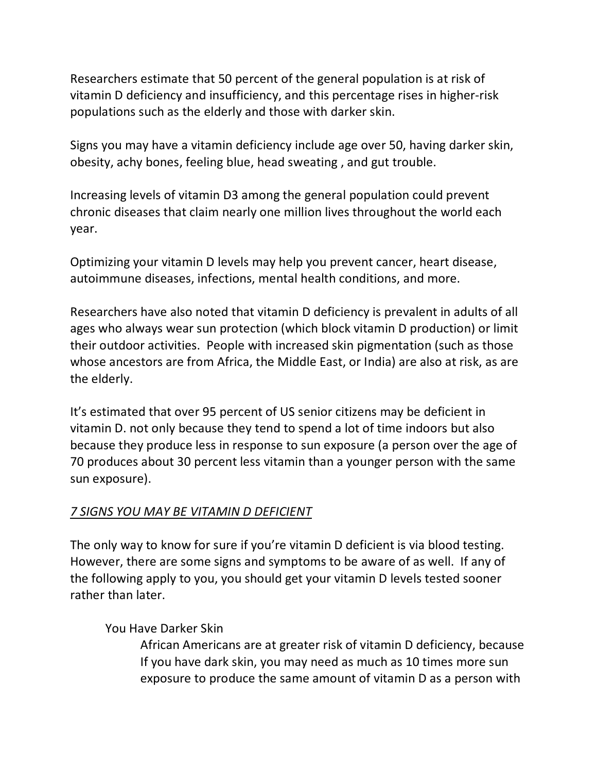Researchers estimate that 50 percent of the general population is at risk of vitamin D deficiency and insufficiency, and this percentage rises in higher-risk populations such as the elderly and those with darker skin.

Signs you may have a vitamin deficiency include age over 50, having darker skin, obesity, achy bones, feeling blue, head sweating , and gut trouble.

Increasing levels of vitamin D3 among the general population could prevent chronic diseases that claim nearly one million lives throughout the world each year.

Optimizing your vitamin D levels may help you prevent cancer, heart disease, autoimmune diseases, infections, mental health conditions, and more.

Researchers have also noted that vitamin D deficiency is prevalent in adults of all ages who always wear sun protection (which block vitamin D production) or limit their outdoor activities. People with increased skin pigmentation (such as those whose ancestors are from Africa, the Middle East, or India) are also at risk, as are the elderly.

It's estimated that over 95 percent of US senior citizens may be deficient in vitamin D. not only because they tend to spend a lot of time indoors but also because they produce less in response to sun exposure (a person over the age of 70 produces about 30 percent less vitamin than a younger person with the same sun exposure).

## *7 SIGNS YOU MAY BE VITAMIN D DEFICIENT*

The only way to know for sure if you're vitamin D deficient is via blood testing. However, there are some signs and symptoms to be aware of as well. If any of the following apply to you, you should get your vitamin D levels tested sooner rather than later.

## You Have Darker Skin

African Americans are at greater risk of vitamin D deficiency, because If you have dark skin, you may need as much as 10 times more sun exposure to produce the same amount of vitamin D as a person with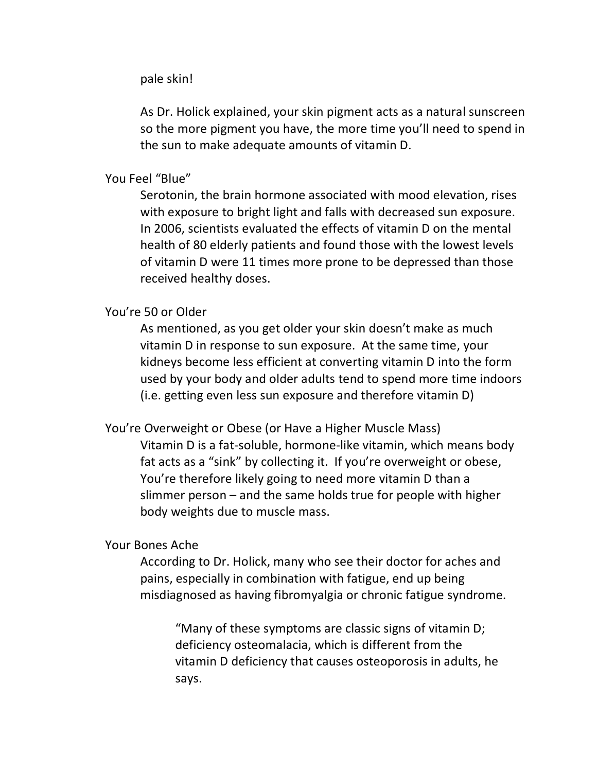pale skin!

As Dr. Holick explained, your skin pigment acts as a natural sunscreen so the more pigment you have, the more time you'll need to spend in the sun to make adequate amounts of vitamin D.

### You Feel "Blue"

Serotonin, the brain hormone associated with mood elevation, rises with exposure to bright light and falls with decreased sun exposure. In 2006, scientists evaluated the effects of vitamin D on the mental health of 80 elderly patients and found those with the lowest levels of vitamin D were 11 times more prone to be depressed than those received healthy doses.

#### You're 50 or Older

As mentioned, as you get older your skin doesn't make as much vitamin D in response to sun exposure. At the same time, your kidneys become less efficient at converting vitamin D into the form used by your body and older adults tend to spend more time indoors (i.e. getting even less sun exposure and therefore vitamin D)

You're Overweight or Obese (or Have a Higher Muscle Mass)

Vitamin D is a fat-soluble, hormone-like vitamin, which means body fat acts as a "sink" by collecting it. If you're overweight or obese, You're therefore likely going to need more vitamin D than a slimmer person – and the same holds true for people with higher body weights due to muscle mass.

#### Your Bones Ache

According to Dr. Holick, many who see their doctor for aches and pains, especially in combination with fatigue, end up being misdiagnosed as having fibromyalgia or chronic fatigue syndrome.

"Many of these symptoms are classic signs of vitamin D; deficiency osteomalacia, which is different from the vitamin D deficiency that causes osteoporosis in adults, he says.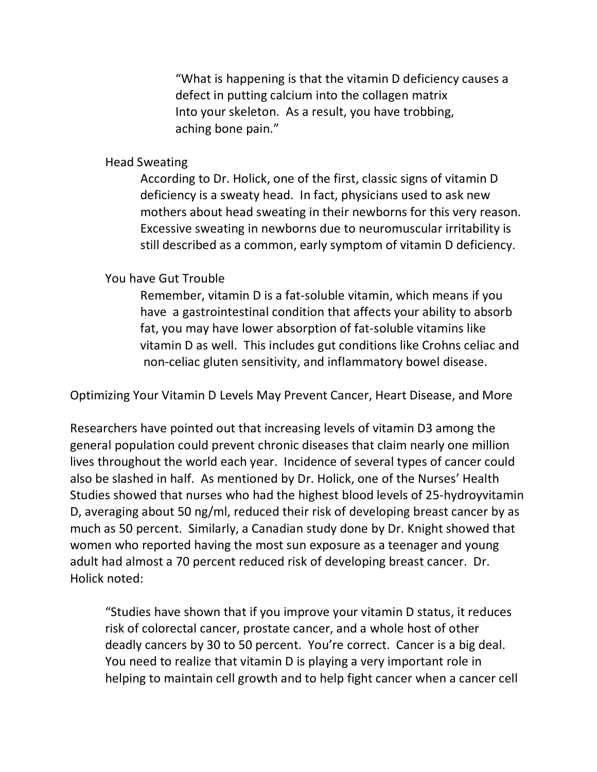"What is happening is that the vitamin D deficiency causes a defect in putting calcium into the collagen matrix Into your skeleton. As a result, you have trobbing, aching bone pain."

Head Sweating

According to Dr. Holick, one of the first, classic signs of vitamin D deficiency is a sweaty head. In fact, physicians used to ask new mothers about head sweating in their newborns for this very reason. Excessive sweating in newborns due to neuromuscular irritability is still described as a common, early symptom of vitamin D deficiency.

You have Gut Trouble

Remember, vitamin D is a fat-soluble vitamin, which means if you have a gastrointestinal condition that affects your ability to absorb fat, you may have lower absorption of fat-soluble vitamins like vitamin D as well. This includes gut conditions like Crohns celiac and non-celiac gluten sensitivity, and inflammatory bowel disease.

Optimizing Your Vitamin D Levels May Prevent Cancer, Heart Disease, and More

Researchers have pointed out that increasing levels of vitamin D3 among the general population could prevent chronic diseases that claim nearly one million lives throughout the world each year. Incidence of several types of cancer could also be slashed in half. As mentioned by Dr. Holick, one of the Nurses' Health Studies showed that nurses who had the highest blood levels of 25-hydroyvitamin D, averaging about 50 ng/ml, reduced their risk of developing breast cancer by as much as 50 percent. Similarly, a Canadian study done by Dr. Knight showed that women who reported having the most sun exposure as a teenager and young adult had almost a 70 percent reduced risk of developing breast cancer. Dr. Holick noted:

"Studies have shown that if you improve your vitamin D status, it reduces risk of colorectal cancer, prostate cancer, and a whole host of other deadly cancers by 30 to 50 percent. You're correct. Cancer is a big deal. You need to realize that vitamin D is playing a very important role in helping to maintain cell growth and to help fight cancer when a cancer cell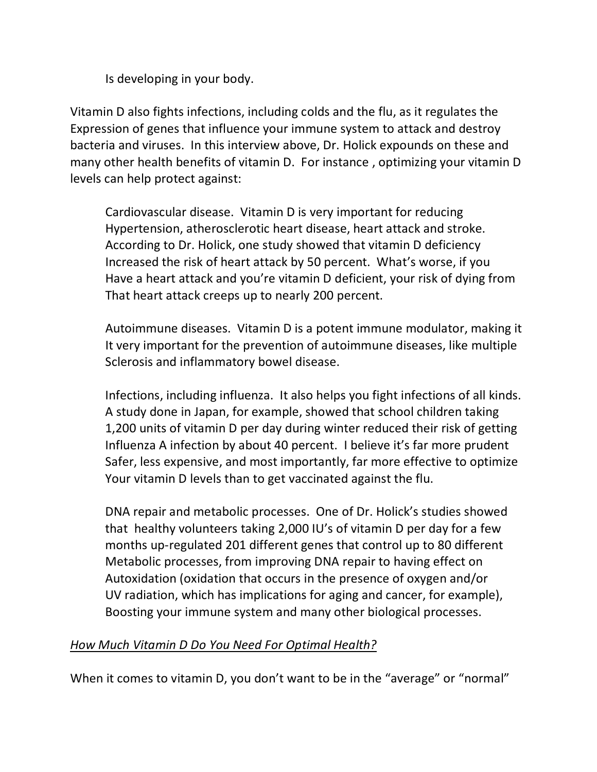Is developing in your body.

Vitamin D also fights infections, including colds and the flu, as it regulates the Expression of genes that influence your immune system to attack and destroy bacteria and viruses. In this interview above, Dr. Holick expounds on these and many other health benefits of vitamin D. For instance , optimizing your vitamin D levels can help protect against:

Cardiovascular disease. Vitamin D is very important for reducing Hypertension, atherosclerotic heart disease, heart attack and stroke. According to Dr. Holick, one study showed that vitamin D deficiency Increased the risk of heart attack by 50 percent. What's worse, if you Have a heart attack and you're vitamin D deficient, your risk of dying from That heart attack creeps up to nearly 200 percent.

Autoimmune diseases. Vitamin D is a potent immune modulator, making it It very important for the prevention of autoimmune diseases, like multiple Sclerosis and inflammatory bowel disease.

Infections, including influenza. It also helps you fight infections of all kinds. A study done in Japan, for example, showed that school children taking 1,200 units of vitamin D per day during winter reduced their risk of getting Influenza A infection by about 40 percent. I believe it's far more prudent Safer, less expensive, and most importantly, far more effective to optimize Your vitamin D levels than to get vaccinated against the flu.

DNA repair and metabolic processes. One of Dr. Holick's studies showed that healthy volunteers taking 2,000 IU's of vitamin D per day for a few months up-regulated 201 different genes that control up to 80 different Metabolic processes, from improving DNA repair to having effect on Autoxidation (oxidation that occurs in the presence of oxygen and/or UV radiation, which has implications for aging and cancer, for example), Boosting your immune system and many other biological processes.

## *How Much Vitamin D Do You Need For Optimal Health?*

When it comes to vitamin D, you don't want to be in the "average" or "normal"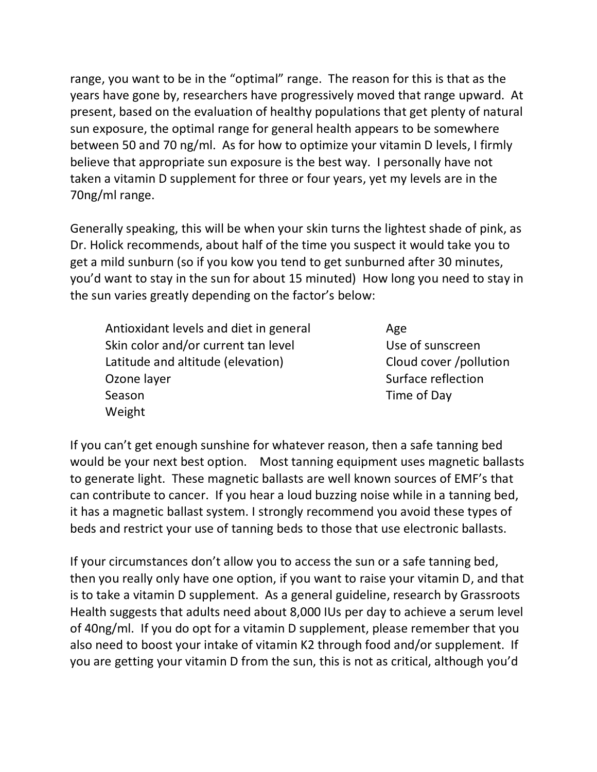range, you want to be in the "optimal" range. The reason for this is that as the years have gone by, researchers have progressively moved that range upward. At present, based on the evaluation of healthy populations that get plenty of natural sun exposure, the optimal range for general health appears to be somewhere between 50 and 70 ng/ml. As for how to optimize your vitamin D levels, I firmly believe that appropriate sun exposure is the best way. I personally have not taken a vitamin D supplement for three or four years, yet my levels are in the 70ng/ml range.

Generally speaking, this will be when your skin turns the lightest shade of pink, as Dr. Holick recommends, about half of the time you suspect it would take you to get a mild sunburn (so if you kow you tend to get sunburned after 30 minutes, you'd want to stay in the sun for about 15 minuted) How long you need to stay in the sun varies greatly depending on the factor's below:

Antioxidant levels and diet in general Age Skin color and/or current tan level Use of sunscreen Latitude and altitude (elevation) Cloud cover /pollution Ozone layer Surface reflection Season **Time of Day** Weight

If you can't get enough sunshine for whatever reason, then a safe tanning bed would be your next best option. Most tanning equipment uses magnetic ballasts to generate light. These magnetic ballasts are well known sources of EMF's that can contribute to cancer. If you hear a loud buzzing noise while in a tanning bed, it has a magnetic ballast system. I strongly recommend you avoid these types of beds and restrict your use of tanning beds to those that use electronic ballasts.

If your circumstances don't allow you to access the sun or a safe tanning bed, then you really only have one option, if you want to raise your vitamin D, and that is to take a vitamin D supplement. As a general guideline, research by Grassroots Health suggests that adults need about 8,000 IUs per day to achieve a serum level of 40ng/ml. If you do opt for a vitamin D supplement, please remember that you also need to boost your intake of vitamin K2 through food and/or supplement. If you are getting your vitamin D from the sun, this is not as critical, although you'd